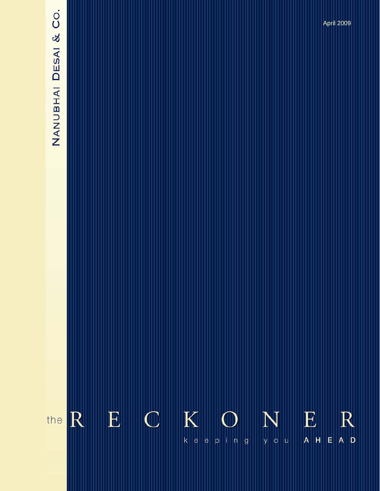# NANUBHAI DESAI & CO.

 $\overline{\mathbf{K}}$  $\mathbf E$  $\mathbb{C}$ E  $R$ R N the  $|k|$ e E y o u  $A$   $H$  $p$  in g  $\vert e \vert$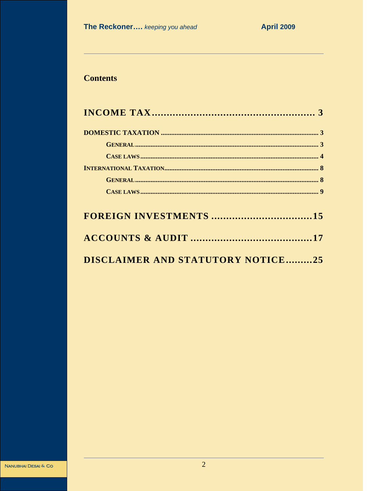# **Contents**

| DISCLAIMER AND STATUTORY NOTICE25 |  |
|-----------------------------------|--|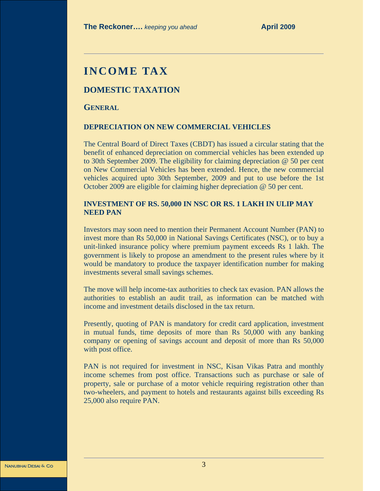# **INCOME TAX**

#### **DOMESTIC TAXATION**

#### **GENERAL**

#### **DEPRECIATION ON NEW COMMERCIAL VEHICLES**

The Central Board of Direct Taxes (CBDT) has issued a circular stating that the benefit of enhanced depreciation on commercial vehicles has been extended up to 30th September 2009. The eligibility for claiming depreciation @ 50 per cent on New Commercial Vehicles has been extended. Hence, the new commercial vehicles acquired upto 30th September, 2009 and put to use before the 1st October 2009 are eligible for claiming higher depreciation @ 50 per cent.

#### **INVESTMENT OF RS. 50,000 IN NSC OR RS. 1 LAKH IN ULIP MAY NEED PAN**

Investors may soon need to mention their Permanent Account Number (PAN) to invest more than Rs 50,000 in National Savings Certificates (NSC), or to buy a unit-linked insurance policy where premium payment exceeds Rs 1 lakh. The government is likely to propose an amendment to the present rules where by it would be mandatory to produce the taxpayer identification number for making investments several small savings schemes.

The move will help income-tax authorities to check tax evasion. PAN allows the authorities to establish an audit trail, as information can be matched with income and investment details disclosed in the tax return.

Presently, quoting of PAN is mandatory for credit card application, investment in mutual funds, time deposits of more than Rs 50,000 with any banking company or opening of savings account and deposit of more than Rs 50,000 with post office.

PAN is not required for investment in NSC, Kisan Vikas Patra and monthly income schemes from post office. Transactions such as purchase or sale of property, sale or purchase of a motor vehicle requiring registration other than two-wheelers, and payment to hotels and restaurants against bills exceeding Rs 25,000 also require PAN.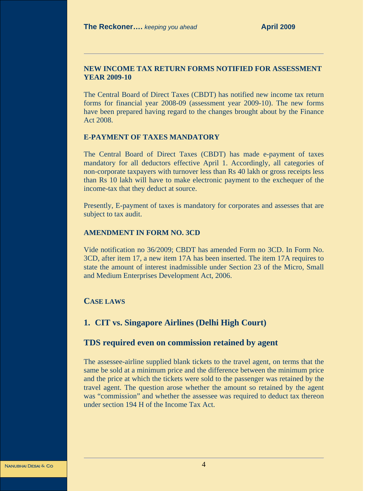#### **NEW INCOME TAX RETURN FORMS NOTIFIED FOR ASSESSMENT YEAR 2009-10**

The Central Board of Direct Taxes (CBDT) has notified new income tax return forms for financial year 2008-09 (assessment year 2009-10). The new forms have been prepared having regard to the changes brought about by the Finance Act 2008.

#### **E-PAYMENT OF TAXES MANDATORY**

The Central Board of Direct Taxes (CBDT) has made e-payment of taxes mandatory for all deductors effective April 1. Accordingly, all categories of non-corporate taxpayers with turnover less than Rs 40 lakh or gross receipts less than Rs 10 lakh will have to make electronic payment to the exchequer of the income-tax that they deduct at source.

Presently, E-payment of taxes is mandatory for corporates and assesses that are subject to tax audit.

#### **AMENDMENT IN FORM NO. 3CD**

Vide notification no 36/2009; CBDT has amended Form no 3CD. In Form No. 3CD, after item 17, a new item 17A has been inserted. The item 17A requires to state the amount of interest inadmissible under Section 23 of the Micro, Small and Medium Enterprises Development Act, 2006.

#### **CASE LAWS**

#### **1. CIT vs. Singapore Airlines (Delhi High Court)**

#### **TDS required even on commission retained by agent**

The assessee-airline supplied blank tickets to the travel agent, on terms that the same be sold at a minimum price and the difference between the minimum price and the price at which the tickets were sold to the passenger was retained by the travel agent. The question arose whether the amount so retained by the agent was "commission" and whether the assessee was required to deduct tax thereon under section 194 H of the Income Tax Act.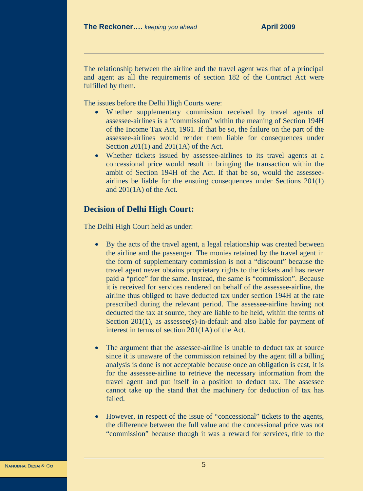The relationship between the airline and the travel agent was that of a principal and agent as all the requirements of section 182 of the Contract Act were fulfilled by them.

The issues before the Delhi High Courts were:

- Whether supplementary commission received by travel agents of assessee-airlines is a "commission" within the meaning of Section 194H of the Income Tax Act, 1961. If that be so, the failure on the part of the assessee-airlines would render them liable for consequences under Section 201(1) and 201(1A) of the Act.
- Whether tickets issued by assessee-airlines to its travel agents at a concessional price would result in bringing the transaction within the ambit of Section 194H of the Act. If that be so, would the assesseeairlines be liable for the ensuing consequences under Sections 201(1) and 201(1A) of the Act.

# **Decision of Delhi High Court:**

The Delhi High Court held as under:

- By the acts of the travel agent, a legal relationship was created between the airline and the passenger. The monies retained by the travel agent in the form of supplementary commission is not a "discount" because the travel agent never obtains proprietary rights to the tickets and has never paid a "price" for the same. Instead, the same is "commission". Because it is received for services rendered on behalf of the assessee-airline, the airline thus obliged to have deducted tax under section 194H at the rate prescribed during the relevant period. The assessee-airline having not deducted the tax at source, they are liable to be held, within the terms of Section 201(1), as assessee(s)-in-default and also liable for payment of interest in terms of section 201(1A) of the Act.
- The argument that the assessee-airline is unable to deduct tax at source since it is unaware of the commission retained by the agent till a billing analysis is done is not acceptable because once an obligation is cast, it is for the assessee-airline to retrieve the necessary information from the travel agent and put itself in a position to deduct tax. The assessee cannot take up the stand that the machinery for deduction of tax has failed.
- However, in respect of the issue of "concessional" tickets to the agents, the difference between the full value and the concessional price was not "commission" because though it was a reward for services, title to the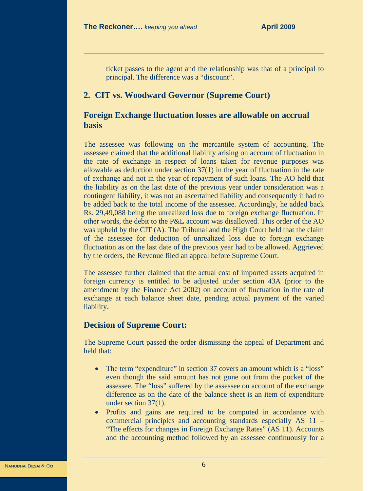ticket passes to the agent and the relationship was that of a principal to principal. The difference was a "discount".

# **2. CIT vs. Woodward Governor (Supreme Court)**

# **Foreign Exchange fluctuation losses are allowable on accrual basis**

The assessee was following on the mercantile system of accounting. The assessee claimed that the additional liability arising on account of fluctuation in the rate of exchange in respect of loans taken for revenue purposes was allowable as deduction under section 37(1) in the year of fluctuation in the rate of exchange and not in the year of repayment of such loans. The AO held that the liability as on the last date of the previous year under consideration was a contingent liability, it was not an ascertained liability and consequently it had to be added back to the total income of the assessee. Accordingly, he added back Rs. 29,49,088 being the unrealized loss due to foreign exchange fluctuation. In other words, the debit to the P&L account was disallowed. This order of the AO was upheld by the CIT (A). The Tribunal and the High Court held that the claim of the assessee for deduction of unrealized loss due to foreign exchange fluctuation as on the last date of the previous year had to be allowed. Aggrieved by the orders, the Revenue filed an appeal before Supreme Court.

The assessee further claimed that the actual cost of imported assets acquired in foreign currency is entitled to be adjusted under section 43A (prior to the amendment by the Finance Act 2002) on account of fluctuation in the rate of exchange at each balance sheet date, pending actual payment of the varied liability.

# **Decision of Supreme Court:**

The Supreme Court passed the order dismissing the appeal of Department and held that:

- The term "expenditure" in section 37 covers an amount which is a "loss" even though the said amount has not gone out from the pocket of the assessee. The "loss" suffered by the assessee on account of the exchange difference as on the date of the balance sheet is an item of expenditure under section 37(1).
- Profits and gains are required to be computed in accordance with commercial principles and accounting standards especially AS 11 – "The effects for changes in Foreign Exchange Rates" (AS 11). Accounts and the accounting method followed by an assessee continuously for a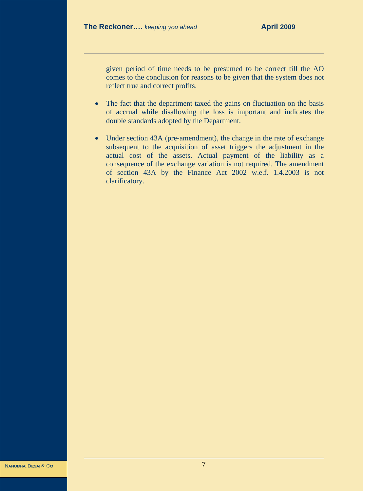given period of time needs to be presumed to be correct till the AO comes to the conclusion for reasons to be given that the system does not reflect true and correct profits.

- The fact that the department taxed the gains on fluctuation on the basis of accrual while disallowing the loss is important and indicates the double standards adopted by the Department.
- Under section 43A (pre-amendment), the change in the rate of exchange subsequent to the acquisition of asset triggers the adjustment in the actual cost of the assets. Actual payment of the liability as a consequence of the exchange variation is not required. The amendment of section 43A by the Finance Act 2002 w.e.f. 1.4.2003 is not clarificatory.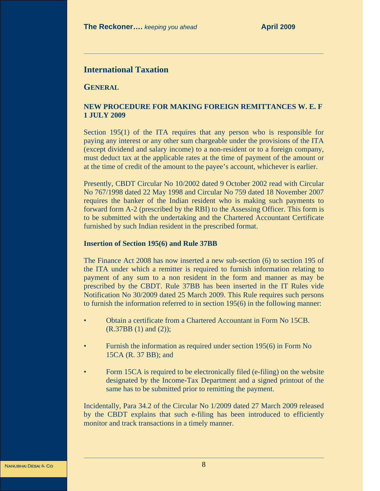# **International Taxation**

**GENERAL**

#### **NEW PROCEDURE FOR MAKING FOREIGN REMITTANCES W. E. F 1 JULY 2009**

Section 195(1) of the ITA requires that any person who is responsible for paying any interest or any other sum chargeable under the provisions of the ITA (except dividend and salary income) to a non-resident or to a foreign company, must deduct tax at the applicable rates at the time of payment of the amount or at the time of credit of the amount to the payee's account, whichever is earlier.

Presently, CBDT Circular No 10/2002 dated 9 October 2002 read with Circular No 767/1998 dated 22 May 1998 and Circular No 759 dated 18 November 2007 requires the banker of the Indian resident who is making such payments to forward form A-2 (prescribed by the RBI) to the Assessing Officer. This form is to be submitted with the undertaking and the Chartered Accountant Certificate furnished by such Indian resident in the prescribed format.

#### **Insertion of Section 195(6) and Rule 37BB**

The Finance Act 2008 has now inserted a new sub-section (6) to section 195 of the ITA under which a remitter is required to furnish information relating to payment of any sum to a non resident in the form and manner as may be prescribed by the CBDT. Rule 37BB has been inserted in the IT Rules vide Notification No 30/2009 dated 25 March 2009. This Rule requires such persons to furnish the information referred to in section 195(6) in the following manner:

- Obtain a certificate from a Chartered Accountant in Form No 15CB. (R.37BB (1) and (2));
- Furnish the information as required under section 195(6) in Form No 15CA (R. 37 BB); and
- Form 15CA is required to be electronically filed (e-filing) on the website designated by the Income-Tax Department and a signed printout of the same has to be submitted prior to remitting the payment.

Incidentally, Para 34.2 of the Circular No 1/2009 dated 27 March 2009 released by the CBDT explains that such e-filing has been introduced to efficiently monitor and track transactions in a timely manner.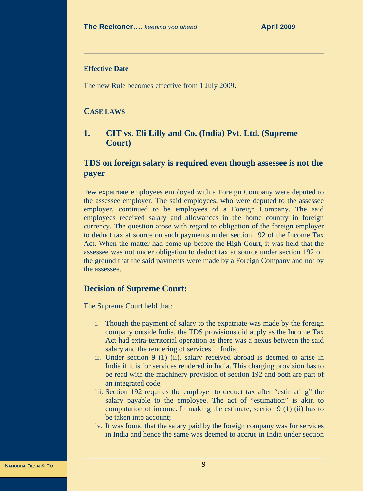#### **Effective Date**

The new Rule becomes effective from 1 July 2009.

#### **CASE LAWS**

# **1. CIT vs. Eli Lilly and Co. (India) Pvt. Ltd. (Supreme Court)**

# **TDS on foreign salary is required even though assessee is not the payer**

Few expatriate employees employed with a Foreign Company were deputed to the assessee employer. The said employees, who were deputed to the assessee employer, continued to be employees of a Foreign Company. The said employees received salary and allowances in the home country in foreign currency. The question arose with regard to obligation of the foreign employer to deduct tax at source on such payments under section 192 of the Income Tax Act. When the matter had come up before the High Court, it was held that the assessee was not under obligation to deduct tax at source under section 192 on the ground that the said payments were made by a Foreign Company and not by the assessee.

#### **Decision of Supreme Court:**

The Supreme Court held that:

- i. Though the payment of salary to the expatriate was made by the foreign company outside India, the TDS provisions did apply as the Income Tax Act had extra-territorial operation as there was a nexus between the said salary and the rendering of services in India;
- ii. Under section 9 (1) (ii), salary received abroad is deemed to arise in India if it is for services rendered in India. This charging provision has to be read with the machinery provision of section 192 and both are part of an integrated code;
- iii. Section 192 requires the employer to deduct tax after "estimating" the salary payable to the employee. The act of "estimation" is akin to computation of income. In making the estimate, section 9 (1) (ii) has to be taken into account;
- iv. It was found that the salary paid by the foreign company was for services in India and hence the same was deemed to accrue in India under section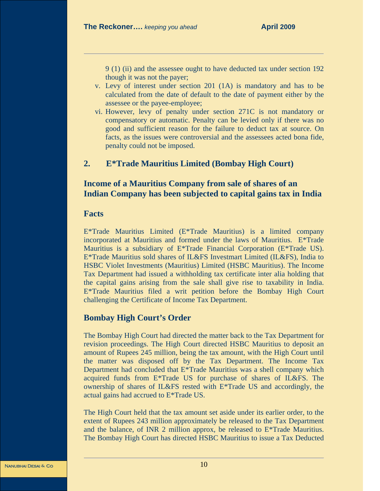9 (1) (ii) and the assessee ought to have deducted tax under section 192 though it was not the payer;

- v. Levy of interest under section 201 (1A) is mandatory and has to be calculated from the date of default to the date of payment either by the assessee or the payee-employee;
- vi. However, levy of penalty under section 271C is not mandatory or compensatory or automatic. Penalty can be levied only if there was no good and sufficient reason for the failure to deduct tax at source. On facts, as the issues were controversial and the assessees acted bona fide, penalty could not be imposed.

# **2. E\*Trade Mauritius Limited (Bombay High Court)**

# **Income of a Mauritius Company from sale of shares of an Indian Company has been subjected to capital gains tax in India**

#### **Facts**

E\*Trade Mauritius Limited (E\*Trade Mauritius) is a limited company incorporated at Mauritius and formed under the laws of Mauritius. E\*Trade Mauritius is a subsidiary of E\*Trade Financial Corporation (E\*Trade US). E\*Trade Mauritius sold shares of IL&FS Investmart Limited (IL&FS), India to HSBC Violet Investments (Mauritius) Limited (HSBC Mauritius). The Income Tax Department had issued a withholding tax certificate inter alia holding that the capital gains arising from the sale shall give rise to taxability in India. E\*Trade Mauritius filed a writ petition before the Bombay High Court challenging the Certificate of Income Tax Department.

# **Bombay High Court's Order**

The Bombay High Court had directed the matter back to the Tax Department for revision proceedings. The High Court directed HSBC Mauritius to deposit an amount of Rupees 245 million, being the tax amount, with the High Court until the matter was disposed off by the Tax Department. The Income Tax Department had concluded that E\*Trade Mauritius was a shell company which acquired funds from E\*Trade US for purchase of shares of IL&FS. The ownership of shares of IL&FS rested with E\*Trade US and accordingly, the actual gains had accrued to E\*Trade US.

The High Court held that the tax amount set aside under its earlier order, to the extent of Rupees 243 million approximately be released to the Tax Department and the balance, of INR 2 million approx, be released to E\*Trade Mauritius. The Bombay High Court has directed HSBC Mauritius to issue a Tax Deducted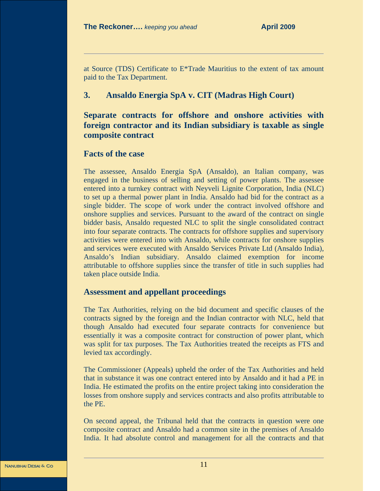at Source (TDS) Certificate to E\*Trade Mauritius to the extent of tax amount paid to the Tax Department.

# **3. Ansaldo Energia SpA v. CIT (Madras High Court)**

# **Separate contracts for offshore and onshore activities with foreign contractor and its Indian subsidiary is taxable as single composite contract**

# **Facts of the case**

The assessee, Ansaldo Energia SpA (Ansaldo), an Italian company, was engaged in the business of selling and setting of power plants. The assessee entered into a turnkey contract with Neyveli Lignite Corporation, India (NLC) to set up a thermal power plant in India. Ansaldo had bid for the contract as a single bidder. The scope of work under the contract involved offshore and onshore supplies and services. Pursuant to the award of the contract on single bidder basis, Ansaldo requested NLC to split the single consolidated contract into four separate contracts. The contracts for offshore supplies and supervisory activities were entered into with Ansaldo, while contracts for onshore supplies and services were executed with Ansaldo Services Private Ltd (Ansaldo India), Ansaldo's Indian subsidiary. Ansaldo claimed exemption for income attributable to offshore supplies since the transfer of title in such supplies had taken place outside India.

# **Assessment and appellant proceedings**

The Tax Authorities, relying on the bid document and specific clauses of the contracts signed by the foreign and the Indian contractor with NLC, held that though Ansaldo had executed four separate contracts for convenience but essentially it was a composite contract for construction of power plant, which was split for tax purposes. The Tax Authorities treated the receipts as FTS and levied tax accordingly.

The Commissioner (Appeals) upheld the order of the Tax Authorities and held that in substance it was one contract entered into by Ansaldo and it had a PE in India. He estimated the profits on the entire project taking into consideration the losses from onshore supply and services contracts and also profits attributable to the PE.

On second appeal, the Tribunal held that the contracts in question were one composite contract and Ansaldo had a common site in the premises of Ansaldo India. It had absolute control and management for all the contracts and that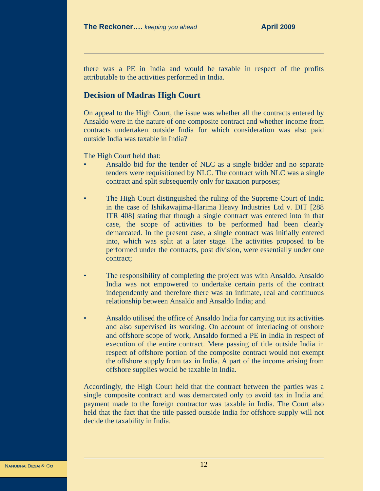there was a PE in India and would be taxable in respect of the profits attributable to the activities performed in India.

# **Decision of Madras High Court**

On appeal to the High Court, the issue was whether all the contracts entered by Ansaldo were in the nature of one composite contract and whether income from contracts undertaken outside India for which consideration was also paid outside India was taxable in India?

The High Court held that:

- Ansaldo bid for the tender of NLC as a single bidder and no separate tenders were requisitioned by NLC. The contract with NLC was a single contract and split subsequently only for taxation purposes;
- The High Court distinguished the ruling of the Supreme Court of India in the case of Ishikawajima-Harima Heavy Industries Ltd v. DIT [288 ITR 408] stating that though a single contract was entered into in that case, the scope of activities to be performed had been clearly demarcated. In the present case, a single contract was initially entered into, which was split at a later stage. The activities proposed to be performed under the contracts, post division, were essentially under one contract;
- The responsibility of completing the project was with Ansaldo. Ansaldo India was not empowered to undertake certain parts of the contract independently and therefore there was an intimate, real and continuous relationship between Ansaldo and Ansaldo India; and
- Ansaldo utilised the office of Ansaldo India for carrying out its activities and also supervised its working. On account of interlacing of onshore and offshore scope of work, Ansaldo formed a PE in India in respect of execution of the entire contract. Mere passing of title outside India in respect of offshore portion of the composite contract would not exempt the offshore supply from tax in India. A part of the income arising from offshore supplies would be taxable in India.

Accordingly, the High Court held that the contract between the parties was a single composite contract and was demarcated only to avoid tax in India and payment made to the foreign contractor was taxable in India. The Court also held that the fact that the title passed outside India for offshore supply will not decide the taxability in India.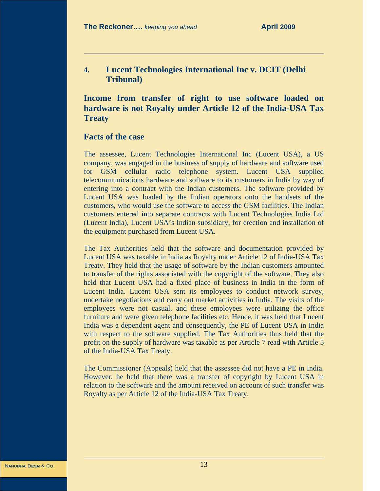**4. Lucent Technologies International Inc v. DCIT (Delhi Tribunal)**

# **Income from transfer of right to use software loaded on hardware is not Royalty under Article 12 of the India-USA Tax Treaty**

#### **Facts of the case**

The assessee, Lucent Technologies International Inc (Lucent USA), a US company, was engaged in the business of supply of hardware and software used for GSM cellular radio telephone system. Lucent USA supplied telecommunications hardware and software to its customers in India by way of entering into a contract with the Indian customers. The software provided by Lucent USA was loaded by the Indian operators onto the handsets of the customers, who would use the software to access the GSM facilities. The Indian customers entered into separate contracts with Lucent Technologies India Ltd (Lucent India), Lucent USA's Indian subsidiary, for erection and installation of the equipment purchased from Lucent USA.

The Tax Authorities held that the software and documentation provided by Lucent USA was taxable in India as Royalty under Article 12 of India-USA Tax Treaty. They held that the usage of software by the Indian customers amounted to transfer of the rights associated with the copyright of the software. They also held that Lucent USA had a fixed place of business in India in the form of Lucent India. Lucent USA sent its employees to conduct network survey, undertake negotiations and carry out market activities in India. The visits of the employees were not casual, and these employees were utilizing the office furniture and were given telephone facilities etc. Hence, it was held that Lucent India was a dependent agent and consequently, the PE of Lucent USA in India with respect to the software supplied. The Tax Authorities thus held that the profit on the supply of hardware was taxable as per Article 7 read with Article 5 of the India-USA Tax Treaty.

The Commissioner (Appeals) held that the assessee did not have a PE in India. However, he held that there was a transfer of copyright by Lucent USA in relation to the software and the amount received on account of such transfer was Royalty as per Article 12 of the India-USA Tax Treaty.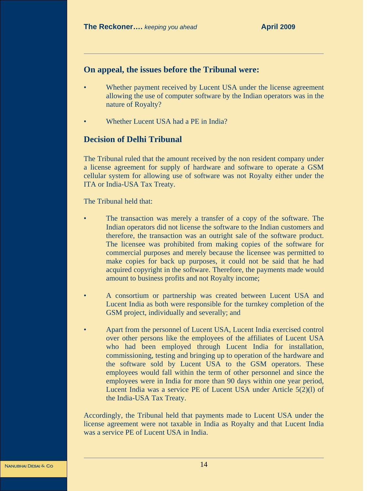#### **On appeal, the issues before the Tribunal were:**

- Whether payment received by Lucent USA under the license agreement allowing the use of computer software by the Indian operators was in the nature of Royalty?
- Whether Lucent USA had a PE in India?

# **Decision of Delhi Tribunal**

The Tribunal ruled that the amount received by the non resident company under a license agreement for supply of hardware and software to operate a GSM cellular system for allowing use of software was not Royalty either under the ITA or India-USA Tax Treaty.

The Tribunal held that:

- The transaction was merely a transfer of a copy of the software. The Indian operators did not license the software to the Indian customers and therefore, the transaction was an outright sale of the software product. The licensee was prohibited from making copies of the software for commercial purposes and merely because the licensee was permitted to make copies for back up purposes, it could not be said that he had acquired copyright in the software. Therefore, the payments made would amount to business profits and not Royalty income;
- A consortium or partnership was created between Lucent USA and Lucent India as both were responsible for the turnkey completion of the GSM project, individually and severally; and
- Apart from the personnel of Lucent USA, Lucent India exercised control over other persons like the employees of the affiliates of Lucent USA who had been employed through Lucent India for installation, commissioning, testing and bringing up to operation of the hardware and the software sold by Lucent USA to the GSM operators. These employees would fall within the term of other personnel and since the employees were in India for more than 90 days within one year period, Lucent India was a service PE of Lucent USA under Article 5(2)(l) of the India-USA Tax Treaty.

Accordingly, the Tribunal held that payments made to Lucent USA under the license agreement were not taxable in India as Royalty and that Lucent India was a service PE of Lucent USA in India.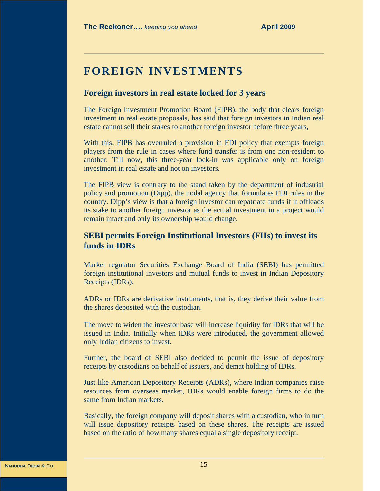# **FOREIGN INVESTMENTS**

#### **Foreign investors in real estate locked for 3 years**

The Foreign Investment Promotion Board (FIPB), the body that clears foreign investment in real estate proposals, has said that foreign investors in Indian real estate cannot sell their stakes to another foreign investor before three years,

With this, FIPB has overruled a provision in FDI policy that exempts foreign players from the rule in cases where fund transfer is from one non-resident to another. Till now, this three-year lock-in was applicable only on foreign investment in real estate and not on investors.

The FIPB view is contrary to the stand taken by the department of industrial policy and promotion (Dipp), the nodal agency that formulates FDI rules in the country. Dipp's view is that a foreign investor can repatriate funds if it offloads its stake to another foreign investor as the actual investment in a project would remain intact and only its ownership would change.

#### **SEBI permits Foreign Institutional Investors (FIIs) to invest its funds in IDRs**

Market regulator Securities Exchange Board of India (SEBI) has permitted foreign institutional investors and mutual funds to invest in Indian Depository Receipts (IDRs).

ADRs or IDRs are derivative instruments, that is, they derive their value from the shares deposited with the custodian.

The move to widen the investor base will increase liquidity for IDRs that will be issued in India. Initially when IDRs were introduced, the government allowed only Indian citizens to invest.

Further, the board of SEBI also decided to permit the issue of depository receipts by custodians on behalf of issuers, and demat holding of IDRs.

Just like American Depository Receipts (ADRs), where Indian companies raise resources from overseas market, IDRs would enable foreign firms to do the same from Indian markets.

Basically, the foreign company will deposit shares with a custodian, who in turn will issue depository receipts based on these shares. The receipts are issued based on the ratio of how many shares equal a single depository receipt.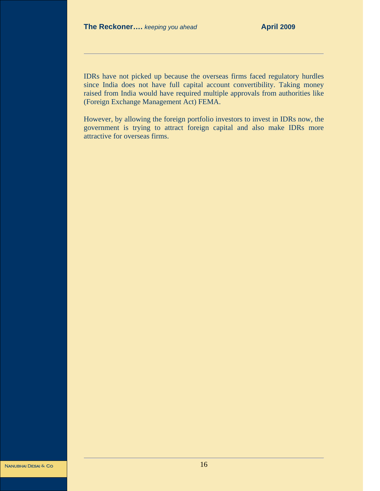IDRs have not picked up because the overseas firms faced regulatory hurdles since India does not have full capital account convertibility. Taking money raised from India would have required multiple approvals from authorities like (Foreign Exchange Management Act) FEMA.

However, by allowing the foreign portfolio investors to invest in IDRs now, the government is trying to attract foreign capital and also make IDRs more attractive for overseas firms.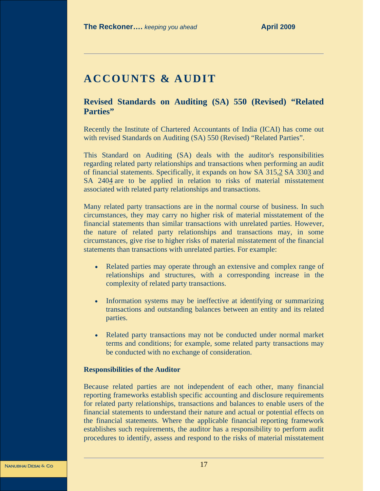# **ACCOUNTS & AUDIT**

**Revised Standards on Auditing (SA) 550 (Revised) "Related Parties"** 

Recently the Institute of Chartered Accountants of India (ICAI) has come out with revised Standards on Auditing (SA) 550 (Revised) "Related Parties".

This Standard on Auditing (SA) deals with the auditor's responsibilities regarding related party relationships and transactions when performing an audit of financial statements. Specifically, it expands on how SA 315,2 SA 3303 and SA 2404 are to be applied in relation to risks of material misstatement associated with related party relationships and transactions.

Many related party transactions are in the normal course of business. In such circumstances, they may carry no higher risk of material misstatement of the financial statements than similar transactions with unrelated parties. However, the nature of related party relationships and transactions may, in some circumstances, give rise to higher risks of material misstatement of the financial statements than transactions with unrelated parties. For example:

- Related parties may operate through an extensive and complex range of relationships and structures, with a corresponding increase in the complexity of related party transactions.
- Information systems may be ineffective at identifying or summarizing transactions and outstanding balances between an entity and its related parties.
- Related party transactions may not be conducted under normal market terms and conditions; for example, some related party transactions may be conducted with no exchange of consideration.

#### **Responsibilities of the Auditor**

Because related parties are not independent of each other, many financial reporting frameworks establish specific accounting and disclosure requirements for related party relationships, transactions and balances to enable users of the financial statements to understand their nature and actual or potential effects on the financial statements. Where the applicable financial reporting framework establishes such requirements, the auditor has a responsibility to perform audit procedures to identify, assess and respond to the risks of material misstatement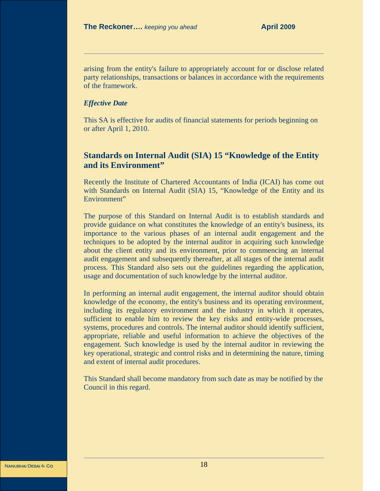arising from the entity's failure to appropriately account for or disclose related party relationships, transactions or balances in accordance with the requirements of the framework.

#### *Effective Date*

This SA is effective for audits of financial statements for periods beginning on or after April 1, 2010.

# **Standards on Internal Audit (SIA) 15 "Knowledge of the Entity and its Environment"**

Recently the Institute of Chartered Accountants of India (ICAI) has come out with Standards on Internal Audit (SIA) 15, "Knowledge of the Entity and its Environment"

The purpose of this Standard on Internal Audit is to establish standards and provide guidance on what constitutes the knowledge of an entity's business, its importance to the various phases of an internal audit engagement and the techniques to be adopted by the internal auditor in acquiring such knowledge about the client entity and its environment, prior to commencing an internal audit engagement and subsequently thereafter, at all stages of the internal audit process. This Standard also sets out the guidelines regarding the application, usage and documentation of such knowledge by the internal auditor.

In performing an internal audit engagement, the internal auditor should obtain knowledge of the economy, the entity's business and its operating environment, including its regulatory environment and the industry in which it operates, sufficient to enable him to review the key risks and entity-wide processes, systems, procedures and controls. The internal auditor should identify sufficient, appropriate, reliable and useful information to achieve the objectives of the engagement. Such knowledge is used by the internal auditor in reviewing the key operational, strategic and control risks and in determining the nature, timing and extent of internal audit procedures.

This Standard shall become mandatory from such date as may be notified by the Council in this regard.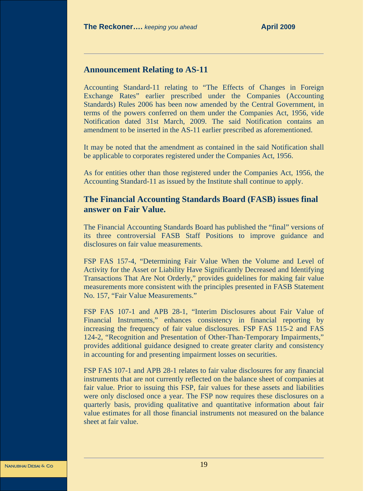# **Announcement Relating to AS-11**

Accounting Standard-11 relating to "The Effects of Changes in Foreign Exchange Rates" earlier prescribed under the Companies (Accounting Standards) Rules 2006 has been now amended by the Central Government, in terms of the powers conferred on them under the Companies Act, 1956, vide Notification dated 31st March, 2009. The said Notification contains an amendment to be inserted in the AS-11 earlier prescribed as aforementioned.

It may be noted that the amendment as contained in the said Notification shall be applicable to corporates registered under the Companies Act, 1956.

As for entities other than those registered under the Companies Act, 1956, the Accounting Standard-11 as issued by the Institute shall continue to apply.

# **The Financial Accounting Standards Board (FASB) issues final answer on Fair Value.**

The Financial Accounting Standards Board has published the "final" versions of its three controversial FASB Staff Positions to improve guidance and disclosures on fair value measurements.

FSP FAS 157-4, "Determining Fair Value When the Volume and Level of Activity for the Asset or Liability Have Significantly Decreased and Identifying Transactions That Are Not Orderly," provides guidelines for making fair value measurements more consistent with the principles presented in FASB Statement No. 157, "Fair Value Measurements."

FSP FAS 107-1 and APB 28-1, "Interim Disclosures about Fair Value of Financial Instruments," enhances consistency in financial reporting by increasing the frequency of fair value disclosures. FSP FAS 115-2 and FAS 124-2, "Recognition and Presentation of Other-Than-Temporary Impairments," provides additional guidance designed to create greater clarity and consistency in accounting for and presenting impairment losses on securities.

FSP FAS 107-1 and APB 28-1 relates to fair value disclosures for any financial instruments that are not currently reflected on the balance sheet of companies at fair value. Prior to issuing this FSP, fair values for these assets and liabilities were only disclosed once a year. The FSP now requires these disclosures on a quarterly basis, providing qualitative and quantitative information about fair value estimates for all those financial instruments not measured on the balance sheet at fair value.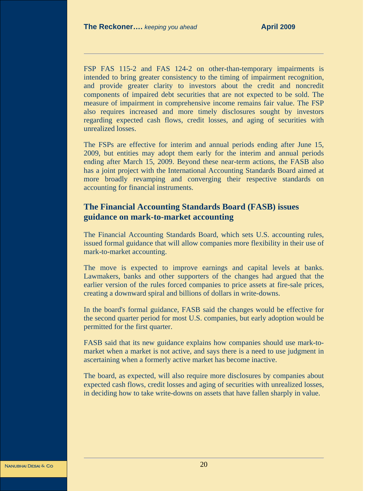FSP FAS 115-2 and FAS 124-2 on other-than-temporary impairments is intended to bring greater consistency to the timing of impairment recognition, and provide greater clarity to investors about the credit and noncredit components of impaired debt securities that are not expected to be sold. The measure of impairment in comprehensive income remains fair value. The FSP also requires increased and more timely disclosures sought by investors regarding expected cash flows, credit losses, and aging of securities with unrealized losses.

The FSPs are effective for interim and annual periods ending after June 15, 2009, but entities may adopt them early for the interim and annual periods ending after March 15, 2009. Beyond these near-term actions, the FASB also has a joint project with the International Accounting Standards Board aimed at more broadly revamping and converging their respective standards on accounting for financial instruments.

# **The Financial Accounting Standards Board (FASB) issues guidance on mark-to-market accounting**

The Financial Accounting Standards Board, which sets U.S. accounting rules, issued formal guidance that will allow companies more flexibility in their use of mark-to-market accounting.

The move is expected to improve earnings and capital levels at banks. Lawmakers, banks and other supporters of the changes had argued that the earlier version of the rules forced companies to price assets at fire-sale prices, creating a downward spiral and billions of dollars in write-downs.

In the board's formal guidance, FASB said the changes would be effective for the second quarter period for most U.S. companies, but early adoption would be permitted for the first quarter.

FASB said that its new guidance explains how companies should use mark-tomarket when a market is not active, and says there is a need to use judgment in ascertaining when a formerly active market has become inactive.

The board, as expected, will also require more disclosures by companies about expected cash flows, credit losses and aging of securities with unrealized losses, in deciding how to take write-downs on assets that have fallen sharply in value.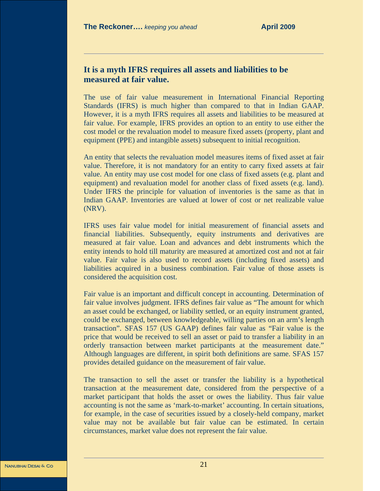#### **It is a myth IFRS requires all assets and liabilities to be measured at fair value.**

The use of fair value measurement in International Financial Reporting Standards (IFRS) is much higher than compared to that in Indian GAAP. However, it is a myth IFRS requires all assets and liabilities to be measured at fair value. For example, IFRS provides an option to an entity to use either the cost model or the revaluation model to measure fixed assets (property, plant and equipment (PPE) and intangible assets) subsequent to initial recognition.

An entity that selects the revaluation model measures items of fixed asset at fair value. Therefore, it is not mandatory for an entity to carry fixed assets at fair value. An entity may use cost model for one class of fixed assets (e.g. plant and equipment) and revaluation model for another class of fixed assets (e.g. land). Under IFRS the principle for valuation of inventories is the same as that in Indian GAAP. Inventories are valued at lower of cost or net realizable value (NRV).

IFRS uses fair value model for initial measurement of financial assets and financial liabilities. Subsequently, equity instruments and derivatives are measured at fair value. Loan and advances and debt instruments which the entity intends to hold till maturity are measured at amortized cost and not at fair value. Fair value is also used to record assets (including fixed assets) and liabilities acquired in a business combination. Fair value of those assets is considered the acquisition cost.

Fair value is an important and difficult concept in accounting. Determination of fair value involves judgment. IFRS defines fair value as "The amount for which an asset could be exchanged, or liability settled, or an equity instrument granted, could be exchanged, between knowledgeable, willing parties on an arm's length transaction". SFAS 157 (US GAAP) defines fair value as "Fair value is the price that would be received to sell an asset or paid to transfer a liability in an orderly transaction between market participants at the measurement date." Although languages are different, in spirit both definitions are same. SFAS 157 provides detailed guidance on the measurement of fair value.

The transaction to sell the asset or transfer the liability is a hypothetical transaction at the measurement date, considered from the perspective of a market participant that holds the asset or owes the liability. Thus fair value accounting is not the same as 'mark-to-market' accounting. In certain situations, for example, in the case of securities issued by a closely-held company, market value may not be available but fair value can be estimated. In certain circumstances, market value does not represent the fair value.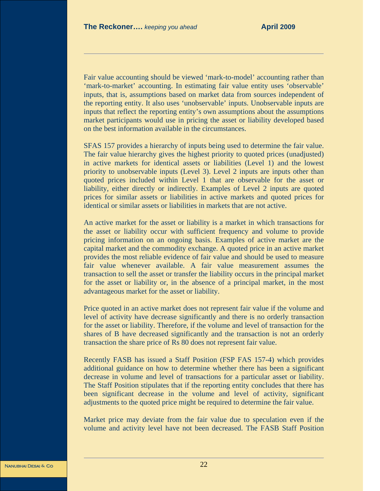Fair value accounting should be viewed 'mark-to-model' accounting rather than 'mark-to-market' accounting. In estimating fair value entity uses 'observable' inputs, that is, assumptions based on market data from sources independent of the reporting entity. It also uses 'unobservable' inputs. Unobservable inputs are inputs that reflect the reporting entity's own assumptions about the assumptions market participants would use in pricing the asset or liability developed based on the best information available in the circumstances.

SFAS 157 provides a hierarchy of inputs being used to determine the fair value. The fair value hierarchy gives the highest priority to quoted prices (unadjusted) in active markets for identical assets or liabilities (Level 1) and the lowest priority to unobservable inputs (Level 3). Level 2 inputs are inputs other than quoted prices included within Level 1 that are observable for the asset or liability, either directly or indirectly. Examples of Level 2 inputs are quoted prices for similar assets or liabilities in active markets and quoted prices for identical or similar assets or liabilities in markets that are not active.

An active market for the asset or liability is a market in which transactions for the asset or liability occur with sufficient frequency and volume to provide pricing information on an ongoing basis. Examples of active market are the capital market and the commodity exchange. A quoted price in an active market provides the most reliable evidence of fair value and should be used to measure fair value whenever available. A fair value measurement assumes the transaction to sell the asset or transfer the liability occurs in the principal market for the asset or liability or, in the absence of a principal market, in the most advantageous market for the asset or liability.

Price quoted in an active market does not represent fair value if the volume and level of activity have decrease significantly and there is no orderly transaction for the asset or liability. Therefore, if the volume and level of transaction for the shares of B have decreased significantly and the transaction is not an orderly transaction the share price of Rs 80 does not represent fair value.

Recently FASB has issued a Staff Position (FSP FAS 157-4) which provides additional guidance on how to determine whether there has been a significant decrease in volume and level of transactions for a particular asset or liability. The Staff Position stipulates that if the reporting entity concludes that there has been significant decrease in the volume and level of activity, significant adjustments to the quoted price might be required to determine the fair value.

Market price may deviate from the fair value due to speculation even if the volume and activity level have not been decreased. The FASB Staff Position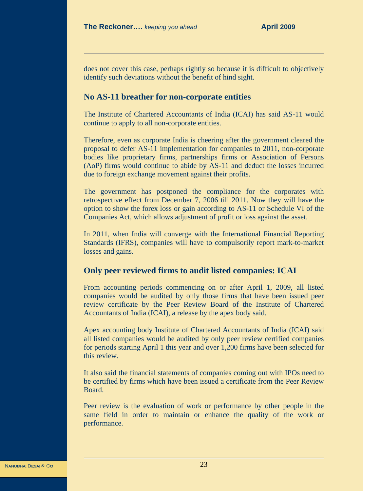does not cover this case, perhaps rightly so because it is difficult to objectively identify such deviations without the benefit of hind sight.

#### **No AS-11 breather for non-corporate entities**

The Institute of Chartered Accountants of India (ICAI) has said AS-11 would continue to apply to all non-corporate entities.

Therefore, even as corporate India is cheering after the government cleared the proposal to defer AS-11 implementation for companies to 2011, non-corporate bodies like proprietary firms, partnerships firms or Association of Persons (AoP) firms would continue to abide by AS-11 and deduct the losses incurred due to foreign exchange movement against their profits.

The government has postponed the compliance for the corporates with retrospective effect from December 7, 2006 till 2011. Now they will have the option to show the forex loss or gain according to AS-11 or Schedule VI of the Companies Act, which allows adjustment of profit or loss against the asset.

In 2011, when India will converge with the International Financial Reporting Standards (IFRS), companies will have to compulsorily report mark-to-market losses and gains.

#### **Only peer reviewed firms to audit listed companies: ICAI**

From accounting periods commencing on or after April 1, 2009, all listed companies would be audited by only those firms that have been issued peer review certificate by the Peer Review Board of the Institute of Chartered Accountants of India (ICAI), a release by the apex body said.

Apex accounting body Institute of Chartered Accountants of India (ICAI) said all listed companies would be audited by only peer review certified companies for periods starting April 1 this year and over 1,200 firms have been selected for this review.

It also said the financial statements of companies coming out with IPOs need to be certified by firms which have been issued a certificate from the Peer Review Board.

Peer review is the evaluation of work or performance by other people in the same field in order to maintain or enhance the quality of the work or performance.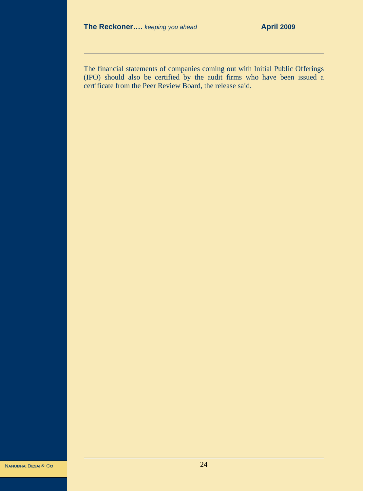The financial statements of companies coming out with Initial Public Offerings (IPO) should also be certified by the audit firms who have been issued a certificate from the Peer Review Board, the release said.